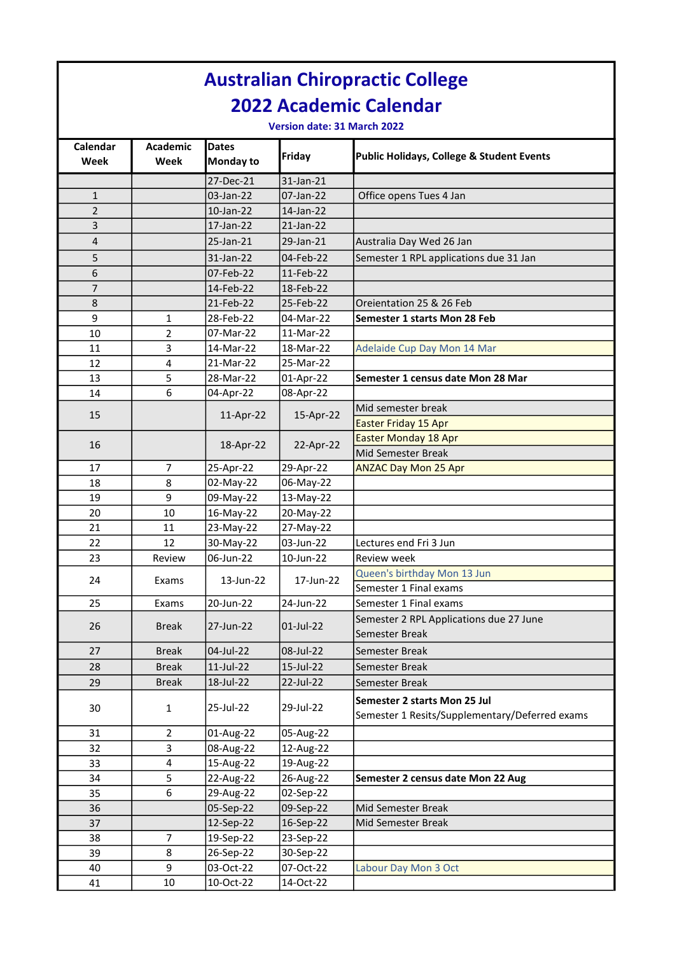|                             |                               |                           |                        | <b>Australian Chiropractic College</b>                                         |  |  |  |  |  |
|-----------------------------|-------------------------------|---------------------------|------------------------|--------------------------------------------------------------------------------|--|--|--|--|--|
|                             | <b>2022 Academic Calendar</b> |                           |                        |                                                                                |  |  |  |  |  |
| Version date: 31 March 2022 |                               |                           |                        |                                                                                |  |  |  |  |  |
| Calendar<br>Week            | <b>Academic</b><br>Week       | <b>Dates</b><br>Monday to | Friday                 | Public Holidays, College & Student Events                                      |  |  |  |  |  |
|                             |                               | 27-Dec-21                 | 31-Jan-21              |                                                                                |  |  |  |  |  |
| $\mathbf{1}$                |                               | 03-Jan-22                 | 07-Jan-22              | Office opens Tues 4 Jan                                                        |  |  |  |  |  |
| 2                           |                               | 10-Jan-22                 | 14-Jan-22              |                                                                                |  |  |  |  |  |
| 3                           |                               | 17-Jan-22                 | 21-Jan-22              |                                                                                |  |  |  |  |  |
| 4                           |                               | 25-Jan-21                 | 29-Jan-21              | Australia Day Wed 26 Jan                                                       |  |  |  |  |  |
| 5                           |                               | 31-Jan-22                 | 04-Feb-22              | Semester 1 RPL applications due 31 Jan                                         |  |  |  |  |  |
| 6                           |                               | 07-Feb-22                 | 11-Feb-22              |                                                                                |  |  |  |  |  |
| $\overline{7}$              |                               | 14-Feb-22                 | 18-Feb-22              |                                                                                |  |  |  |  |  |
| 8                           |                               | 21-Feb-22                 | 25-Feb-22              | Oreientation 25 & 26 Feb                                                       |  |  |  |  |  |
| 9                           | 1                             | 28-Feb-22                 | 04-Mar-22              | Semester 1 starts Mon 28 Feb                                                   |  |  |  |  |  |
| 10                          | 2                             | 07-Mar-22                 | 11-Mar-22              |                                                                                |  |  |  |  |  |
| 11                          | 3                             | 14-Mar-22                 | 18-Mar-22              | Adelaide Cup Day Mon 14 Mar                                                    |  |  |  |  |  |
| 12                          | 4                             | 21-Mar-22                 | 25-Mar-22              |                                                                                |  |  |  |  |  |
| 13                          | 5                             | 28-Mar-22                 | 01-Apr-22              | Semester 1 census date Mon 28 Mar                                              |  |  |  |  |  |
| 14                          | 6                             | 04-Apr-22                 | 08-Apr-22              |                                                                                |  |  |  |  |  |
| 15                          |                               | 11-Apr-22                 | 15-Apr-22              | Mid semester break                                                             |  |  |  |  |  |
|                             |                               |                           |                        | Easter Friday 15 Apr                                                           |  |  |  |  |  |
| 16                          |                               | 18-Apr-22                 | 22-Apr-22              | <b>Easter Monday 18 Apr</b>                                                    |  |  |  |  |  |
|                             |                               |                           |                        | Mid Semester Break                                                             |  |  |  |  |  |
| 17                          | 7                             | 25-Apr-22                 | 29-Apr-22              | <b>ANZAC Day Mon 25 Apr</b>                                                    |  |  |  |  |  |
| 18                          | 8                             | 02-May-22                 | 06-May-22              |                                                                                |  |  |  |  |  |
| 19                          | 9                             | 09-May-22                 | 13-May-22              |                                                                                |  |  |  |  |  |
| 20                          | 10                            | 16-May-22                 | 20-May-22              |                                                                                |  |  |  |  |  |
| 21                          | 11                            | 23-May-22                 | 27-May-22              |                                                                                |  |  |  |  |  |
| 22                          | 12                            | 30-May-22                 | 03-Jun-22              | Lectures end Fri 3 Jun                                                         |  |  |  |  |  |
| 23                          | Review                        | 06-Jun-22                 | 10-Jun-22              | Review week                                                                    |  |  |  |  |  |
| 24                          | Exams                         | 13-Jun-22                 | 17-Jun-22              | Queen's birthday Mon 13 Jun                                                    |  |  |  |  |  |
|                             |                               |                           |                        | Semester 1 Final exams                                                         |  |  |  |  |  |
| 25                          | Exams                         | 20-Jun-22                 | 24-Jun-22              | Semester 1 Final exams                                                         |  |  |  |  |  |
| 26                          | <b>Break</b>                  | 27-Jun-22                 | 01-Jul-22              | Semester 2 RPL Applications due 27 June                                        |  |  |  |  |  |
|                             |                               |                           |                        | Semester Break                                                                 |  |  |  |  |  |
| 27                          | <b>Break</b>                  | 04-Jul-22                 | 08-Jul-22              | Semester Break                                                                 |  |  |  |  |  |
| 28                          | <b>Break</b>                  | $11$ -Jul-22              | 15-Jul-22              | Semester Break                                                                 |  |  |  |  |  |
| 29                          | <b>Break</b>                  | 18-Jul-22                 | 22-Jul-22              | Semester Break                                                                 |  |  |  |  |  |
| 30                          | 1                             | 25-Jul-22                 | 29-Jul-22              | Semester 2 starts Mon 25 Jul<br>Semester 1 Resits/Supplementary/Deferred exams |  |  |  |  |  |
|                             |                               |                           |                        |                                                                                |  |  |  |  |  |
| 31<br>32                    | 2<br>3                        | 01-Aug-22<br>08-Aug-22    | 05-Aug-22<br>12-Aug-22 |                                                                                |  |  |  |  |  |
| 33                          | $\overline{\mathbf{4}}$       | 15-Aug-22                 | 19-Aug-22              |                                                                                |  |  |  |  |  |
| 34                          | 5                             | 22-Aug-22                 | 26-Aug-22              | Semester 2 census date Mon 22 Aug                                              |  |  |  |  |  |
| 35                          | 6                             | 29-Aug-22                 | 02-Sep-22              |                                                                                |  |  |  |  |  |
| 36                          |                               | 05-Sep-22                 | 09-Sep-22              | Mid Semester Break                                                             |  |  |  |  |  |
| 37                          |                               | 12-Sep-22                 | 16-Sep-22              | Mid Semester Break                                                             |  |  |  |  |  |
| 38                          | 7                             | 19-Sep-22                 | 23-Sep-22              |                                                                                |  |  |  |  |  |
| 39                          | 8                             | 26-Sep-22                 | 30-Sep-22              |                                                                                |  |  |  |  |  |
| 40                          | 9                             | 03-Oct-22                 | 07-Oct-22              | Labour Day Mon 3 Oct                                                           |  |  |  |  |  |
| 41                          | 10                            | 10-Oct-22                 | 14-Oct-22              |                                                                                |  |  |  |  |  |
|                             |                               |                           |                        |                                                                                |  |  |  |  |  |